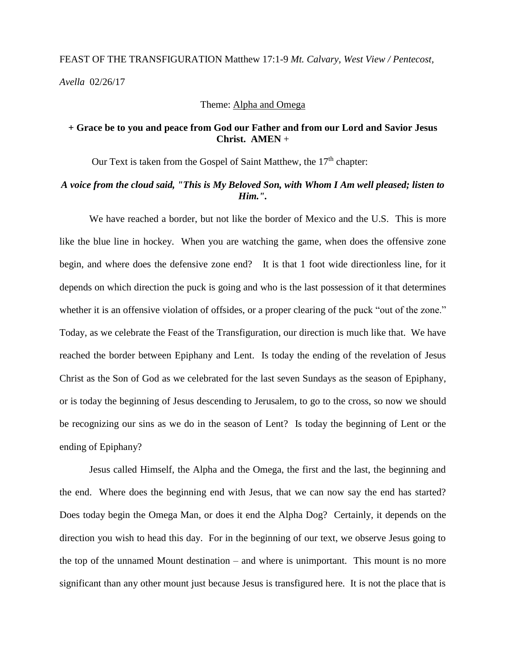# FEAST OF THE TRANSFIGURATION Matthew 17:1-9 *Mt. Calvary, West View / Pentecost, Avella* 02/26/17

#### Theme: Alpha and Omega

## **+ Grace be to you and peace from God our Father and from our Lord and Savior Jesus Christ. AMEN** +

Our Text is taken from the Gospel of Saint Matthew, the 17<sup>th</sup> chapter:

### *A voice from the cloud said, "This is My Beloved Son, with Whom I Am well pleased; listen to Him.".*

We have reached a border, but not like the border of Mexico and the U.S. This is more like the blue line in hockey. When you are watching the game, when does the offensive zone begin, and where does the defensive zone end? It is that 1 foot wide directionless line, for it depends on which direction the puck is going and who is the last possession of it that determines whether it is an offensive violation of offsides, or a proper clearing of the puck "out of the zone." Today, as we celebrate the Feast of the Transfiguration, our direction is much like that. We have reached the border between Epiphany and Lent. Is today the ending of the revelation of Jesus Christ as the Son of God as we celebrated for the last seven Sundays as the season of Epiphany, or is today the beginning of Jesus descending to Jerusalem, to go to the cross, so now we should be recognizing our sins as we do in the season of Lent? Is today the beginning of Lent or the ending of Epiphany?

Jesus called Himself, the Alpha and the Omega, the first and the last, the beginning and the end. Where does the beginning end with Jesus, that we can now say the end has started? Does today begin the Omega Man, or does it end the Alpha Dog? Certainly, it depends on the direction you wish to head this day. For in the beginning of our text, we observe Jesus going to the top of the unnamed Mount destination – and where is unimportant. This mount is no more significant than any other mount just because Jesus is transfigured here. It is not the place that is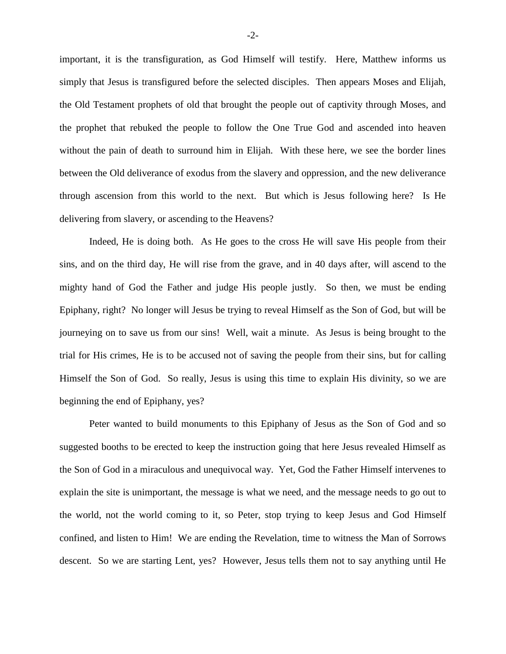important, it is the transfiguration, as God Himself will testify. Here, Matthew informs us simply that Jesus is transfigured before the selected disciples. Then appears Moses and Elijah, the Old Testament prophets of old that brought the people out of captivity through Moses, and the prophet that rebuked the people to follow the One True God and ascended into heaven without the pain of death to surround him in Elijah. With these here, we see the border lines between the Old deliverance of exodus from the slavery and oppression, and the new deliverance through ascension from this world to the next. But which is Jesus following here? Is He delivering from slavery, or ascending to the Heavens?

Indeed, He is doing both. As He goes to the cross He will save His people from their sins, and on the third day, He will rise from the grave, and in 40 days after, will ascend to the mighty hand of God the Father and judge His people justly. So then, we must be ending Epiphany, right? No longer will Jesus be trying to reveal Himself as the Son of God, but will be journeying on to save us from our sins! Well, wait a minute. As Jesus is being brought to the trial for His crimes, He is to be accused not of saving the people from their sins, but for calling Himself the Son of God. So really, Jesus is using this time to explain His divinity, so we are beginning the end of Epiphany, yes?

Peter wanted to build monuments to this Epiphany of Jesus as the Son of God and so suggested booths to be erected to keep the instruction going that here Jesus revealed Himself as the Son of God in a miraculous and unequivocal way. Yet, God the Father Himself intervenes to explain the site is unimportant, the message is what we need, and the message needs to go out to the world, not the world coming to it, so Peter, stop trying to keep Jesus and God Himself confined, and listen to Him! We are ending the Revelation, time to witness the Man of Sorrows descent. So we are starting Lent, yes? However, Jesus tells them not to say anything until He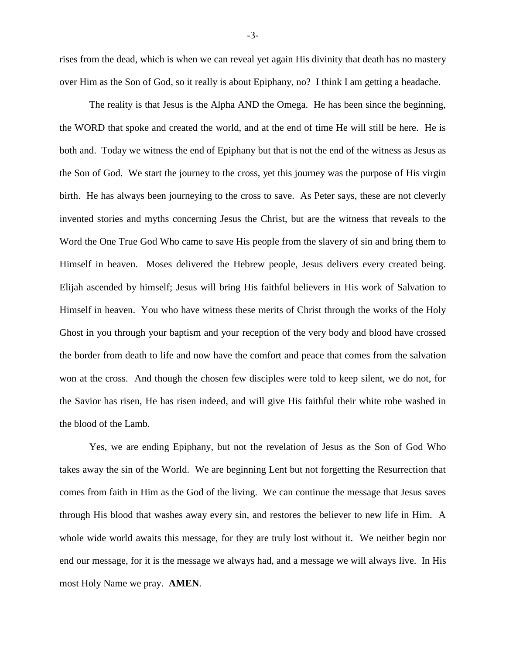rises from the dead, which is when we can reveal yet again His divinity that death has no mastery over Him as the Son of God, so it really is about Epiphany, no? I think I am getting a headache.

The reality is that Jesus is the Alpha AND the Omega. He has been since the beginning, the WORD that spoke and created the world, and at the end of time He will still be here. He is both and. Today we witness the end of Epiphany but that is not the end of the witness as Jesus as the Son of God. We start the journey to the cross, yet this journey was the purpose of His virgin birth. He has always been journeying to the cross to save. As Peter says, these are not cleverly invented stories and myths concerning Jesus the Christ, but are the witness that reveals to the Word the One True God Who came to save His people from the slavery of sin and bring them to Himself in heaven. Moses delivered the Hebrew people, Jesus delivers every created being. Elijah ascended by himself; Jesus will bring His faithful believers in His work of Salvation to Himself in heaven. You who have witness these merits of Christ through the works of the Holy Ghost in you through your baptism and your reception of the very body and blood have crossed the border from death to life and now have the comfort and peace that comes from the salvation won at the cross. And though the chosen few disciples were told to keep silent, we do not, for the Savior has risen, He has risen indeed, and will give His faithful their white robe washed in the blood of the Lamb.

Yes, we are ending Epiphany, but not the revelation of Jesus as the Son of God Who takes away the sin of the World. We are beginning Lent but not forgetting the Resurrection that comes from faith in Him as the God of the living. We can continue the message that Jesus saves through His blood that washes away every sin, and restores the believer to new life in Him. A whole wide world awaits this message, for they are truly lost without it. We neither begin nor end our message, for it is the message we always had, and a message we will always live. In His most Holy Name we pray. **AMEN**.

-3-